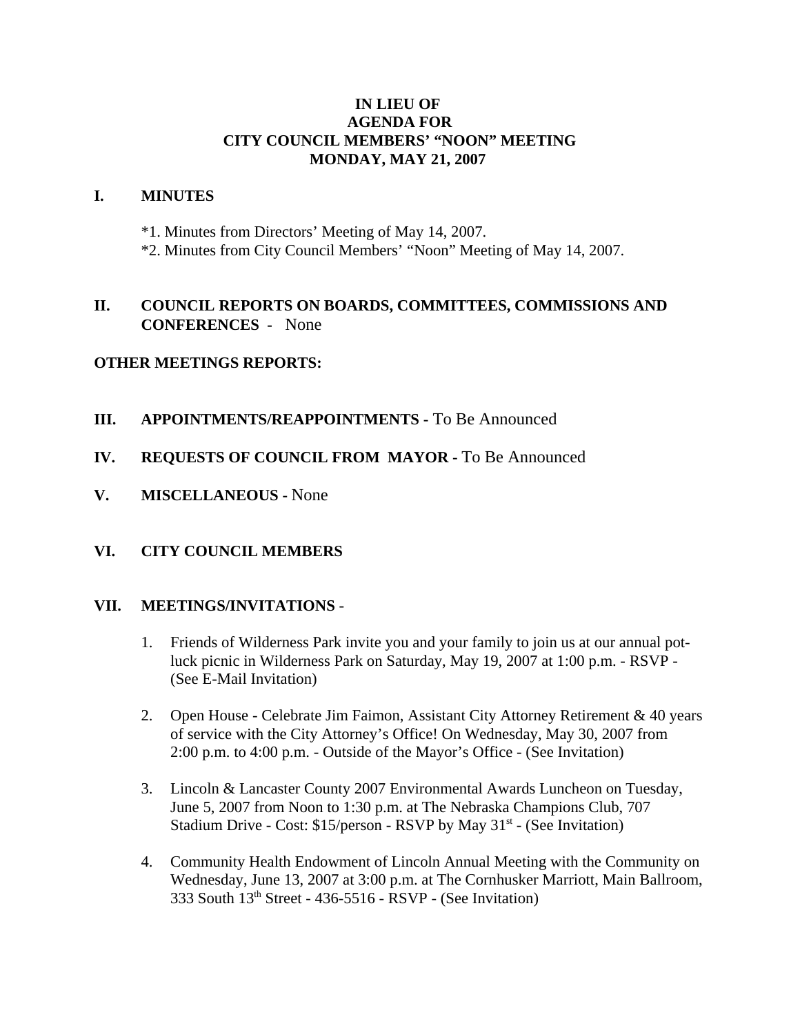#### **IN LIEU OF AGENDA FOR CITY COUNCIL MEMBERS' "NOON" MEETING MONDAY, MAY 21, 2007**

#### **I. MINUTES**

- \*1. Minutes from Directors' Meeting of May 14, 2007.
- \*2. Minutes from City Council Members' "Noon" Meeting of May 14, 2007.

## **II. COUNCIL REPORTS ON BOARDS, COMMITTEES, COMMISSIONS AND CONFERENCES -** None

## **OTHER MEETINGS REPORTS:**

- **III. APPOINTMENTS/REAPPOINTMENTS -** To Be Announced
- **IV. REQUESTS OF COUNCIL FROM MAYOR -** To Be Announced
- **V. MISCELLANEOUS** None

## **VI. CITY COUNCIL MEMBERS**

#### **VII. MEETINGS/INVITATIONS** -

- 1. Friends of Wilderness Park invite you and your family to join us at our annual potluck picnic in Wilderness Park on Saturday, May 19, 2007 at 1:00 p.m. - RSVP - (See E-Mail Invitation)
- 2. Open House Celebrate Jim Faimon, Assistant City Attorney Retirement & 40 years of service with the City Attorney's Office! On Wednesday, May 30, 2007 from 2:00 p.m. to 4:00 p.m. - Outside of the Mayor's Office - (See Invitation)
- 3. Lincoln & Lancaster County 2007 Environmental Awards Luncheon on Tuesday, June 5, 2007 from Noon to 1:30 p.m. at The Nebraska Champions Club, 707 Stadium Drive - Cost:  $$15/person$  - RSVP by May  $31<sup>st</sup>$  - (See Invitation)
- 4. Community Health Endowment of Lincoln Annual Meeting with the Community on Wednesday, June 13, 2007 at 3:00 p.m. at The Cornhusker Marriott, Main Ballroom, 333 South  $13<sup>th</sup>$  Street - 436-5516 - RSVP - (See Invitation)